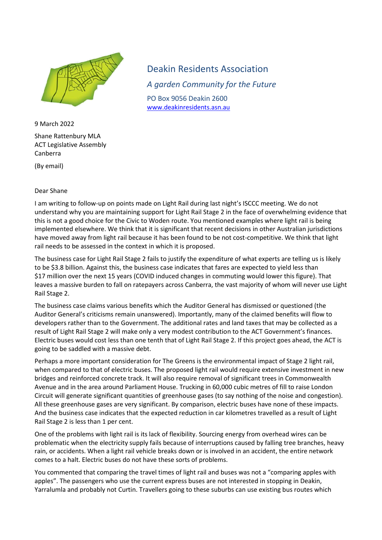

9 March 2022 Shane Rattenbury MLA ACT Legislative Assembly Canberra

(By email)

## Dear Shane

Deakin Residents Association *A garden Community for the Future* PO Box 9056 Deakin 2600 [www.deakinresidents.asn.au](http://www.deakinresidents.asn.au/)

I am writing to follow-up on points made on Light Rail during last night's ISCCC meeting. We do not understand why you are maintaining support for Light Rail Stage 2 in the face of overwhelming evidence that this is not a good choice for the Civic to Woden route. You mentioned examples where light rail is being implemented elsewhere. We think that it is significant that recent decisions in other Australian jurisdictions have moved away from light rail because it has been found to be not cost-competitive. We think that light rail needs to be assessed in the context in which it is proposed.

The business case for Light Rail Stage 2 fails to justify the expenditure of what experts are telling us is likely to be \$3.8 billion. Against this, the business case indicates that fares are expected to yield less than \$17 million over the next 15 years (COVID induced changes in commuting would lower this figure). That leaves a massive burden to fall on ratepayers across Canberra, the vast majority of whom will never use Light Rail Stage 2.

The business case claims various benefits which the Auditor General has dismissed or questioned (the Auditor General's criticisms remain unanswered). Importantly, many of the claimed benefits will flow to developers rather than to the Government. The additional rates and land taxes that may be collected as a result of Light Rail Stage 2 will make only a very modest contribution to the ACT Government's finances. Electric buses would cost less than one tenth that of Light Rail Stage 2. If this project goes ahead, the ACT is going to be saddled with a massive debt.

Perhaps a more important consideration for The Greens is the environmental impact of Stage 2 light rail, when compared to that of electric buses. The proposed light rail would require extensive investment in new bridges and reinforced concrete track. It will also require removal of significant trees in Commonwealth Avenue and in the area around Parliament House. Trucking in 60,000 cubic metres of fill to raise London Circuit will generate significant quantities of greenhouse gases (to say nothing of the noise and congestion). All these greenhouse gases are very significant. By comparison, electric buses have none of these impacts. And the business case indicates that the expected reduction in car kilometres travelled as a result of Light Rail Stage 2 is less than 1 per cent.

One of the problems with light rail is its lack of flexibility. Sourcing energy from overhead wires can be problematic when the electricity supply fails because of interruptions caused by falling tree branches, heavy rain, or accidents. When a light rail vehicle breaks down or is involved in an accident, the entire network comes to a halt. Electric buses do not have these sorts of problems.

You commented that comparing the travel times of light rail and buses was not a "comparing apples with apples". The passengers who use the current express buses are not interested in stopping in Deakin, Yarralumla and probably not Curtin. Travellers going to these suburbs can use existing bus routes which